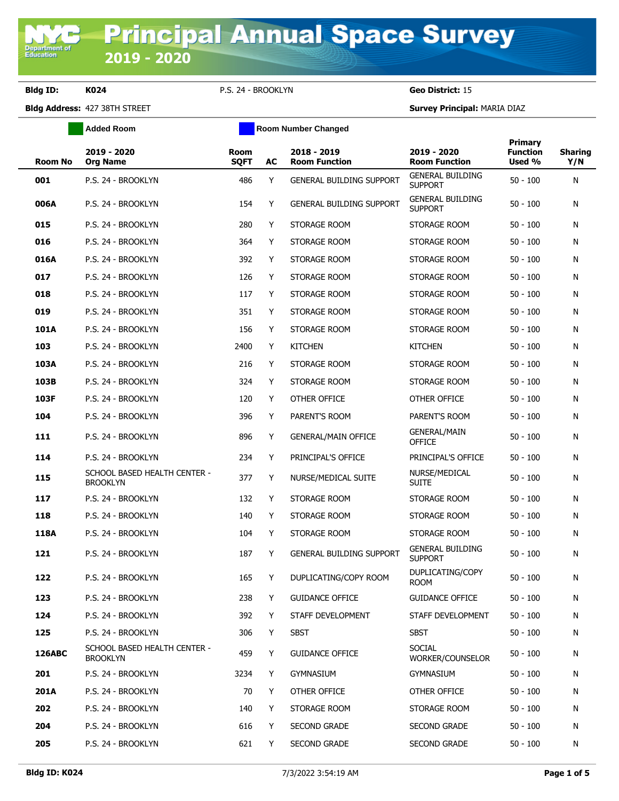**Department of**<br>Education

**Bldg ID: K024** P.S. 24 - BROOKLYN **Geo District:** 15

**Bldg Address:** 427 38TH STREET **Survey Principal:** MARIA DIAZ

|                | <b>Added Room</b>                               |                            |    | <b>Room Number Changed</b>          |                                           |                                      |                       |
|----------------|-------------------------------------------------|----------------------------|----|-------------------------------------|-------------------------------------------|--------------------------------------|-----------------------|
| <b>Room No</b> | 2019 - 2020<br><b>Org Name</b>                  | <b>Room</b><br><b>SQFT</b> | AC | 2018 - 2019<br><b>Room Function</b> | 2019 - 2020<br><b>Room Function</b>       | Primary<br><b>Function</b><br>Used % | <b>Sharing</b><br>Y/N |
| 001            | P.S. 24 - BROOKLYN                              | 486                        | Y  | <b>GENERAL BUILDING SUPPORT</b>     | <b>GENERAL BUILDING</b><br><b>SUPPORT</b> | $50 - 100$                           | N                     |
| 006A           | P.S. 24 - BROOKLYN                              | 154                        | Y  | <b>GENERAL BUILDING SUPPORT</b>     | <b>GENERAL BUILDING</b><br><b>SUPPORT</b> | $50 - 100$                           | N                     |
| 015            | P.S. 24 - BROOKLYN                              | 280                        | Y  | STORAGE ROOM                        | STORAGE ROOM                              | $50 - 100$                           | N                     |
| 016            | P.S. 24 - BROOKLYN                              | 364                        | Y  | STORAGE ROOM                        | STORAGE ROOM                              | $50 - 100$                           | N                     |
| 016A           | P.S. 24 - BROOKLYN                              | 392                        | Y  | STORAGE ROOM                        | STORAGE ROOM                              | $50 - 100$                           | N                     |
| 017            | P.S. 24 - BROOKLYN                              | 126                        | Y  | STORAGE ROOM                        | STORAGE ROOM                              | $50 - 100$                           | N                     |
| 018            | P.S. 24 - BROOKLYN                              | 117                        | Y  | STORAGE ROOM                        | STORAGE ROOM                              | $50 - 100$                           | N                     |
| 019            | P.S. 24 - BROOKLYN                              | 351                        | Y  | STORAGE ROOM                        | STORAGE ROOM                              | $50 - 100$                           | N                     |
| 101A           | P.S. 24 - BROOKLYN                              | 156                        | Y  | STORAGE ROOM                        | STORAGE ROOM                              | $50 - 100$                           | N                     |
| 103            | P.S. 24 - BROOKLYN                              | 2400                       | Y  | <b>KITCHEN</b>                      | <b>KITCHEN</b>                            | $50 - 100$                           | N                     |
| 103A           | P.S. 24 - BROOKLYN                              | 216                        | Y  | STORAGE ROOM                        | STORAGE ROOM                              | $50 - 100$                           | N                     |
| 103B           | P.S. 24 - BROOKLYN                              | 324                        | Υ  | STORAGE ROOM                        | STORAGE ROOM                              | $50 - 100$                           | N                     |
| 103F           | P.S. 24 - BROOKLYN                              | 120                        | Y  | OTHER OFFICE                        | OTHER OFFICE                              | $50 - 100$                           | N                     |
| 104            | P.S. 24 - BROOKLYN                              | 396                        | Y  | PARENT'S ROOM                       | PARENT'S ROOM                             | $50 - 100$                           | N                     |
| 111            | P.S. 24 - BROOKLYN                              | 896                        | Y  | <b>GENERAL/MAIN OFFICE</b>          | <b>GENERAL/MAIN</b><br><b>OFFICE</b>      | $50 - 100$                           | N                     |
| 114            | P.S. 24 - BROOKLYN                              | 234                        | Υ  | PRINCIPAL'S OFFICE                  | PRINCIPAL'S OFFICE                        | $50 - 100$                           | N                     |
| 115            | SCHOOL BASED HEALTH CENTER -<br><b>BROOKLYN</b> | 377                        | Y  | NURSE/MEDICAL SUITE                 | NURSE/MEDICAL<br><b>SUITE</b>             | $50 - 100$                           | N                     |
| 117            | P.S. 24 - BROOKLYN                              | 132                        | Y  | STORAGE ROOM                        | STORAGE ROOM                              | $50 - 100$                           | N                     |
| 118            | P.S. 24 - BROOKLYN                              | 140                        | Y  | STORAGE ROOM                        | STORAGE ROOM                              | $50 - 100$                           | N                     |
| 118A           | P.S. 24 - BROOKLYN                              | 104                        | Y  | STORAGE ROOM                        | STORAGE ROOM                              | $50 - 100$                           | N                     |
| 121            | P.S. 24 - BROOKLYN                              | 187                        | Y  | <b>GENERAL BUILDING SUPPORT</b>     | <b>GENERAL BUILDING</b><br><b>SUPPORT</b> | $50 - 100$                           | N                     |
| 122            | P.S. 24 - BROOKLYN                              | 165                        | Y  | DUPLICATING/COPY ROOM               | DUPLICATING/COPY<br><b>ROOM</b>           | $50 - 100$                           | N                     |
| 123            | P.S. 24 - BROOKLYN                              | 238                        | Y  | <b>GUIDANCE OFFICE</b>              | <b>GUIDANCE OFFICE</b>                    | $50 - 100$                           | N                     |
| 124            | P.S. 24 - BROOKLYN                              | 392                        | Y  | STAFF DEVELOPMENT                   | STAFF DEVELOPMENT                         | $50 - 100$                           | N                     |
| 125            | P.S. 24 - BROOKLYN                              | 306                        | Y  | <b>SBST</b>                         | <b>SBST</b>                               | $50 - 100$                           | N                     |
| <b>126ABC</b>  | SCHOOL BASED HEALTH CENTER -<br><b>BROOKLYN</b> | 459                        | Y  | <b>GUIDANCE OFFICE</b>              | <b>SOCIAL</b><br>WORKER/COUNSELOR         | $50 - 100$                           | N                     |
| 201            | P.S. 24 - BROOKLYN                              | 3234                       | Y  | <b>GYMNASIUM</b>                    | <b>GYMNASIUM</b>                          | $50 - 100$                           | N                     |
| <b>201A</b>    | P.S. 24 - BROOKLYN                              | 70                         | Y  | OTHER OFFICE                        | OTHER OFFICE                              | $50 - 100$                           | N                     |
| 202            | P.S. 24 - BROOKLYN                              | 140                        | Y  | STORAGE ROOM                        | STORAGE ROOM                              | $50 - 100$                           | N                     |
| 204            | P.S. 24 - BROOKLYN                              | 616                        | Y  | SECOND GRADE                        | <b>SECOND GRADE</b>                       | $50 - 100$                           | N                     |
| 205            | P.S. 24 - BROOKLYN                              | 621                        | Y  | SECOND GRADE                        | SECOND GRADE                              | $50 - 100$                           | N                     |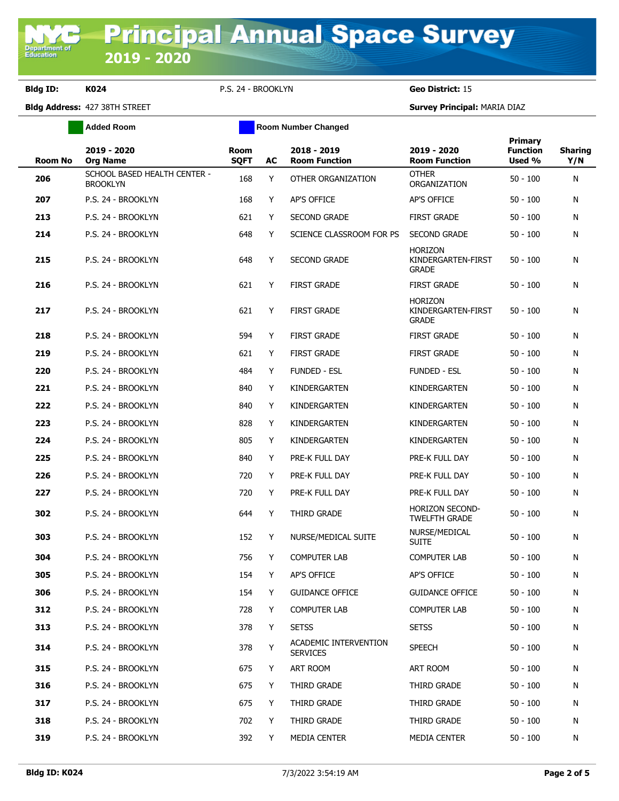**Bldg ID: K024** P.S. 24 - BROOKLYN **Geo District:** 15

**Bldg Address:** 427 38TH STREET **Survey Principal:** MARIA DIAZ

|                | <b>Added Room</b>                               |                     |     | <b>Room Number Changed</b>               |                                                      |                                      |                       |  |  |
|----------------|-------------------------------------------------|---------------------|-----|------------------------------------------|------------------------------------------------------|--------------------------------------|-----------------------|--|--|
| <b>Room No</b> | 2019 - 2020<br><b>Org Name</b>                  | Room<br><b>SQFT</b> | AC  | 2018 - 2019<br><b>Room Function</b>      | 2019 - 2020<br><b>Room Function</b>                  | Primary<br><b>Function</b><br>Used % | <b>Sharing</b><br>Y/N |  |  |
| 206            | SCHOOL BASED HEALTH CENTER -<br><b>BROOKLYN</b> | 168                 | Y   | OTHER ORGANIZATION                       | <b>OTHER</b><br>ORGANIZATION                         | 50 - 100                             | N                     |  |  |
| 207            | P.S. 24 - BROOKLYN                              | 168                 | Y   | AP'S OFFICE                              | AP'S OFFICE                                          | 50 - 100                             | N                     |  |  |
| 213            | P.S. 24 - BROOKLYN                              | 621                 | Y   | <b>SECOND GRADE</b>                      | <b>FIRST GRADE</b>                                   | 50 - 100                             | N                     |  |  |
| 214            | P.S. 24 - BROOKLYN                              | 648                 | Y   | SCIENCE CLASSROOM FOR PS                 | <b>SECOND GRADE</b>                                  | $50 - 100$                           | N                     |  |  |
| 215            | P.S. 24 - BROOKLYN                              | 648                 | Y   | <b>SECOND GRADE</b>                      | <b>HORIZON</b><br>KINDERGARTEN-FIRST<br><b>GRADE</b> | 50 - 100                             | N                     |  |  |
| 216            | P.S. 24 - BROOKLYN                              | 621                 | Y   | <b>FIRST GRADE</b>                       | <b>FIRST GRADE</b>                                   | 50 - 100                             | N                     |  |  |
| 217            | P.S. 24 - BROOKLYN                              | 621                 | Y   | <b>FIRST GRADE</b>                       | <b>HORIZON</b><br>KINDERGARTEN-FIRST<br><b>GRADE</b> | $50 - 100$                           | N                     |  |  |
| 218            | P.S. 24 - BROOKLYN                              | 594                 | Y   | <b>FIRST GRADE</b>                       | <b>FIRST GRADE</b>                                   | 50 - 100                             | N                     |  |  |
| 219            | P.S. 24 - BROOKLYN                              | 621                 | Y   | <b>FIRST GRADE</b>                       | <b>FIRST GRADE</b>                                   | $50 - 100$                           | N                     |  |  |
| 220            | P.S. 24 - BROOKLYN                              | 484                 | Y   | <b>FUNDED - ESL</b>                      | <b>FUNDED - ESL</b>                                  | $50 - 100$                           | N                     |  |  |
| 221            | P.S. 24 - BROOKLYN                              | 840                 | Y   | KINDERGARTEN                             | KINDERGARTEN                                         | $50 - 100$                           | N                     |  |  |
| 222            | P.S. 24 - BROOKLYN                              | 840                 | Y   | KINDERGARTEN                             | KINDERGARTEN                                         | 50 - 100                             | N                     |  |  |
| 223            | P.S. 24 - BROOKLYN                              | 828                 | Y   | KINDERGARTEN                             | KINDERGARTEN                                         | 50 - 100                             | N                     |  |  |
| 224            | P.S. 24 - BROOKLYN                              | 805                 | Y   | KINDERGARTEN                             | KINDERGARTEN                                         | 50 - 100                             | N                     |  |  |
| 225            | P.S. 24 - BROOKLYN                              | 840                 | Y   | PRE-K FULL DAY                           | PRE-K FULL DAY                                       | 50 - 100                             | N                     |  |  |
| 226            | P.S. 24 - BROOKLYN                              | 720                 | Y   | PRE-K FULL DAY                           | PRE-K FULL DAY                                       | 50 - 100                             | N                     |  |  |
| 227            | P.S. 24 - BROOKLYN                              | 720                 | Y   | PRE-K FULL DAY                           | PRE-K FULL DAY                                       | 50 - 100                             | N                     |  |  |
| 302            | P.S. 24 - BROOKLYN                              | 644                 | Y   | THIRD GRADE                              | HORIZON SECOND-<br><b>TWELFTH GRADE</b>              | $50 - 100$                           | N                     |  |  |
| 303            | P.S. 24 - BROOKLYN                              | 152                 | Y   | NURSE/MEDICAL SUITE                      | NURSE/MEDICAL<br><b>SUITE</b>                        | 50 - 100                             | N                     |  |  |
| 304            | P.S. 24 - BROOKLYN                              | 756                 | Y   | <b>COMPUTER LAB</b>                      | <b>COMPUTER LAB</b>                                  | $50 - 100$                           | N                     |  |  |
| 305            | P.S. 24 - BROOKLYN                              | 154                 | Y - | AP'S OFFICE                              | AP'S OFFICE                                          | $50 - 100$                           | N                     |  |  |
| 306            | P.S. 24 - BROOKLYN                              | 154                 | Y   | <b>GUIDANCE OFFICE</b>                   | <b>GUIDANCE OFFICE</b>                               | $50 - 100$                           | N                     |  |  |
| 312            | P.S. 24 - BROOKLYN                              | 728                 | Y   | <b>COMPUTER LAB</b>                      | COMPUTER LAB                                         | $50 - 100$                           | N                     |  |  |
| 313            | P.S. 24 - BROOKLYN                              | 378                 | Y   | <b>SETSS</b>                             | <b>SETSS</b>                                         | $50 - 100$                           | N                     |  |  |
| 314            | P.S. 24 - BROOKLYN                              | 378                 | Y   | ACADEMIC INTERVENTION<br><b>SERVICES</b> | <b>SPEECH</b>                                        | 50 - 100                             | N                     |  |  |
| 315            | P.S. 24 - BROOKLYN                              | 675                 | Y   | ART ROOM                                 | ART ROOM                                             | $50 - 100$                           | N                     |  |  |
| 316            | P.S. 24 - BROOKLYN                              | 675                 | Y   | THIRD GRADE                              | THIRD GRADE                                          | $50 - 100$                           | N                     |  |  |
| 317            | P.S. 24 - BROOKLYN                              | 675                 | Y   | THIRD GRADE                              | THIRD GRADE                                          | $50 - 100$                           | N                     |  |  |
| 318            | P.S. 24 - BROOKLYN                              | 702                 | Y   | THIRD GRADE                              | THIRD GRADE                                          | 50 - 100                             | N                     |  |  |
| 319            | P.S. 24 - BROOKLYN                              | 392                 | Y   | MEDIA CENTER                             | MEDIA CENTER                                         | $50 - 100$                           | N                     |  |  |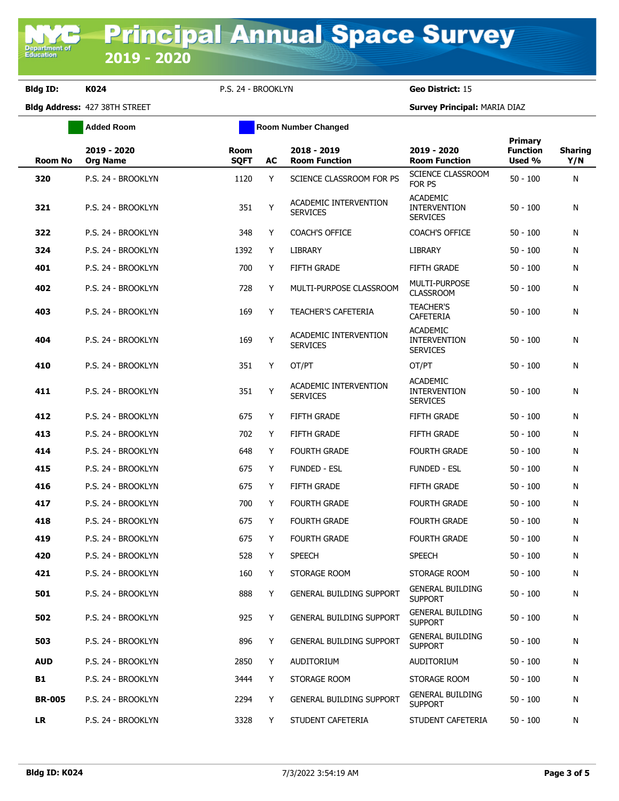**Bldg ID: K024** P.S. 24 - BROOKLYN **Geo District:** 15

**Added Room Room Room Number Changed** 

**Bldg Address:** 427 38TH STREET **Survey Principal:** MARIA DIAZ

| <b>Room No</b> | 2019 - 2020<br><b>Org Name</b> | Room<br><b>SQFT</b> | AC | 2018 - 2019<br><b>Room Function</b>      | 2019 - 2020<br><b>Room Function</b>                       | Primary<br><b>Function</b><br>Used % | <b>Sharing</b><br>Y/N |
|----------------|--------------------------------|---------------------|----|------------------------------------------|-----------------------------------------------------------|--------------------------------------|-----------------------|
| 320            | P.S. 24 - BROOKLYN             | 1120                | Y  | SCIENCE CLASSROOM FOR PS                 | SCIENCE CLASSROOM<br>FOR PS                               | $50 - 100$                           | N                     |
| 321            | P.S. 24 - BROOKLYN             | 351                 | Y  | ACADEMIC INTERVENTION<br><b>SERVICES</b> | <b>ACADEMIC</b><br><b>INTERVENTION</b><br><b>SERVICES</b> | $50 - 100$                           | N                     |
| 322            | P.S. 24 - BROOKLYN             | 348                 | Y  | <b>COACH'S OFFICE</b>                    | <b>COACH'S OFFICE</b>                                     | $50 - 100$                           | N                     |
| 324            | P.S. 24 - BROOKLYN             | 1392                | Y  | LIBRARY                                  | <b>LIBRARY</b>                                            | $50 - 100$                           | N                     |
| 401            | P.S. 24 - BROOKLYN             | 700                 | Y  | <b>FIFTH GRADE</b>                       | <b>FIFTH GRADE</b>                                        | $50 - 100$                           | N                     |
| 402            | P.S. 24 - BROOKLYN             | 728                 | Y  | MULTI-PURPOSE CLASSROOM                  | <b>MULTI-PURPOSE</b><br><b>CLASSROOM</b>                  | $50 - 100$                           | N                     |
| 403            | P.S. 24 - BROOKLYN             | 169                 | Y  | <b>TEACHER'S CAFETERIA</b>               | <b>TEACHER'S</b><br>CAFETERIA                             | $50 - 100$                           | N                     |
| 404            | P.S. 24 - BROOKLYN             | 169                 | Y  | ACADEMIC INTERVENTION<br><b>SERVICES</b> | <b>ACADEMIC</b><br><b>INTERVENTION</b><br><b>SERVICES</b> | $50 - 100$                           | N                     |
| 410            | P.S. 24 - BROOKLYN             | 351                 | Y  | OT/PT                                    | OT/PT                                                     | $50 - 100$                           | N                     |
| 411            | P.S. 24 - BROOKLYN             | 351                 | Y  | ACADEMIC INTERVENTION<br><b>SERVICES</b> | <b>ACADEMIC</b><br><b>INTERVENTION</b><br><b>SERVICES</b> | $50 - 100$                           | N                     |
| 412            | P.S. 24 - BROOKLYN             | 675                 | Y  | <b>FIFTH GRADE</b>                       | <b>FIFTH GRADE</b>                                        | $50 - 100$                           | N                     |
| 413            | P.S. 24 - BROOKLYN             | 702                 | Y  | <b>FIFTH GRADE</b>                       | <b>FIFTH GRADE</b>                                        | $50 - 100$                           | N                     |
| 414            | P.S. 24 - BROOKLYN             | 648                 | Y  | <b>FOURTH GRADE</b>                      | <b>FOURTH GRADE</b>                                       | $50 - 100$                           | N                     |
| 415            | P.S. 24 - BROOKLYN             | 675                 | Y  | <b>FUNDED - ESL</b>                      | <b>FUNDED - ESL</b>                                       | $50 - 100$                           | N                     |
| 416            | P.S. 24 - BROOKLYN             | 675                 | Y  | <b>FIFTH GRADE</b>                       | <b>FIFTH GRADE</b>                                        | $50 - 100$                           | N                     |
| 417            | P.S. 24 - BROOKLYN             | 700                 | Y  | <b>FOURTH GRADE</b>                      | <b>FOURTH GRADE</b>                                       | $50 - 100$                           | N                     |
| 418            | P.S. 24 - BROOKLYN             | 675                 | Y  | <b>FOURTH GRADE</b>                      | <b>FOURTH GRADE</b>                                       | $50 - 100$                           | N                     |
| 419            | P.S. 24 - BROOKLYN             | 675                 | Y  | <b>FOURTH GRADE</b>                      | <b>FOURTH GRADE</b>                                       | $50 - 100$                           | N                     |
| 420            | P.S. 24 - BROOKLYN             | 528                 | Y  | <b>SPEECH</b>                            | <b>SPEECH</b>                                             | $50 - 100$                           | N                     |
| 421            | P.S. 24 - BROOKLYN             | 160                 | Y  | STORAGE ROOM                             | STORAGE ROOM                                              | $50 - 100$                           | N                     |
| 501            | P.S. 24 - BROOKLYN             | 888                 | Y  | <b>GENERAL BUILDING SUPPORT</b>          | <b>GENERAL BUILDING</b><br><b>SUPPORT</b>                 | $50 - 100$                           | N                     |
| 502            | P.S. 24 - BROOKLYN             | 925                 | Y  | <b>GENERAL BUILDING SUPPORT</b>          | <b>GENERAL BUILDING</b><br><b>SUPPORT</b>                 | $50 - 100$                           | N                     |
| 503            | P.S. 24 - BROOKLYN             | 896                 | Y  | <b>GENERAL BUILDING SUPPORT</b>          | <b>GENERAL BUILDING</b><br><b>SUPPORT</b>                 | $50 - 100$                           | N                     |
| <b>AUD</b>     | P.S. 24 - BROOKLYN             | 2850                | Y  | <b>AUDITORIUM</b>                        | AUDITORIUM                                                | $50 - 100$                           | N                     |
| <b>B1</b>      | P.S. 24 - BROOKLYN             | 3444                | Y  | STORAGE ROOM                             | STORAGE ROOM                                              | $50 - 100$                           | N                     |
| <b>BR-005</b>  | P.S. 24 - BROOKLYN             | 2294                | Y  | <b>GENERAL BUILDING SUPPORT</b>          | <b>GENERAL BUILDING</b><br><b>SUPPORT</b>                 | $50 - 100$                           | N                     |
| <b>LR</b>      | P.S. 24 - BROOKLYN             | 3328                | Y  | STUDENT CAFETERIA                        | STUDENT CAFETERIA                                         | $50 - 100$                           | N                     |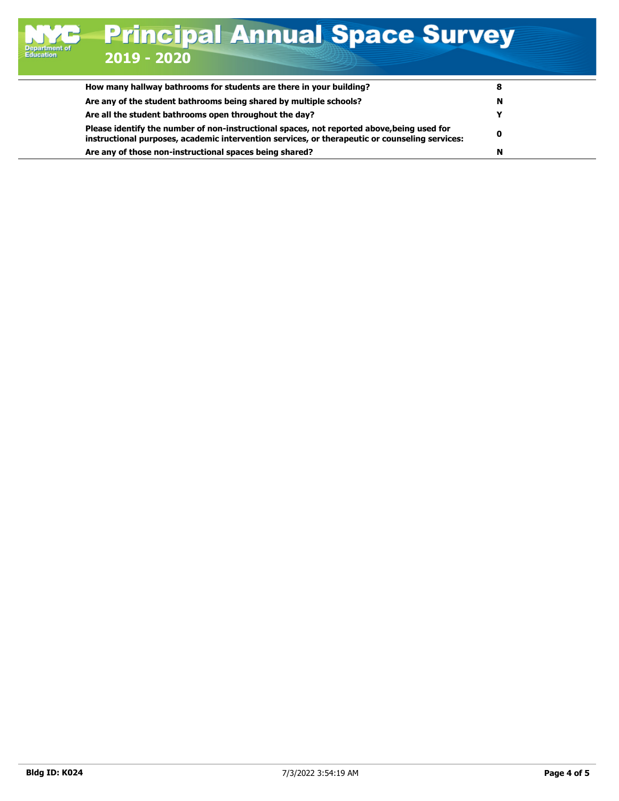| How many hallway bathrooms for students are there in your building?                                                                                                                          |   |  |
|----------------------------------------------------------------------------------------------------------------------------------------------------------------------------------------------|---|--|
| Are any of the student bathrooms being shared by multiple schools?                                                                                                                           | N |  |
| Are all the student bathrooms open throughout the day?                                                                                                                                       |   |  |
| Please identify the number of non-instructional spaces, not reported above, being used for<br>instructional purposes, academic intervention services, or therapeutic or counseling services: | 0 |  |
| Are any of those non-instructional spaces being shared?                                                                                                                                      | N |  |